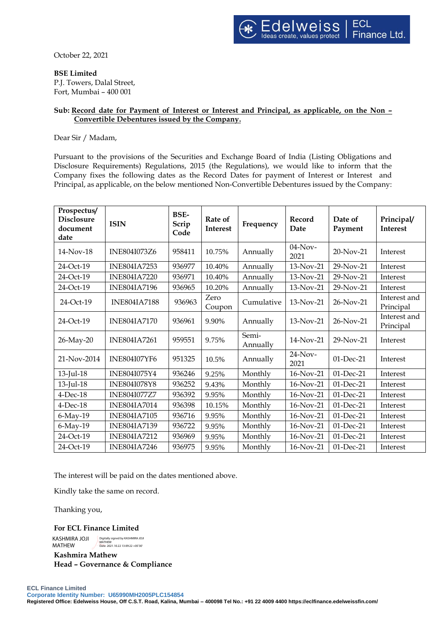October 22, 2021

**BSE Limited**

P.J. Towers, Dalal Street, Fort, Mumbai – 400 001

## **Sub: Record date for Payment of Interest or Interest and Principal, as applicable, on the Non – Convertible Debentures issued by the Company.**

Dear Sir / Madam,

Pursuant to the provisions of the Securities and Exchange Board of India (Listing Obligations and Disclosure Requirements) Regulations, 2015 (the Regulations), we would like to inform that the Company fixes the following dates as the Record Dates for payment of Interest or Interest and Principal, as applicable, on the below mentioned Non-Convertible Debentures issued by the Company:

| Prospectus/<br><b>Disclosure</b><br>document<br>date | <b>ISIN</b>         | <b>BSE-</b><br>Scrip<br>Code | Rate of<br><b>Interest</b> | Frequency         | Record<br>Date     | Date of<br>Payment | Principal/<br>Interest    |
|------------------------------------------------------|---------------------|------------------------------|----------------------------|-------------------|--------------------|--------------------|---------------------------|
| $14$ -Nov-18                                         | INE804I073Z6        | 958411                       | 10.75%                     | Annually          | $04$ -Nov-<br>2021 | $20-Nov-21$        | Interest                  |
| 24-Oct-19                                            | <b>INE804IA7253</b> | 936977                       | 10.40%                     | Annually          | 13-Nov-21          | $29-Nov-21$        | Interest                  |
| 24-Oct-19                                            | <b>INE804IA7220</b> | 936971                       | 10.40%                     | Annually          | 13-Nov-21          | 29-Nov-21          | Interest                  |
| 24-Oct-19                                            | <b>INE804IA7196</b> | 936965                       | 10.20%                     | Annually          | 13-Nov-21          | 29-Nov-21          | Interest                  |
| 24-Oct-19                                            | <b>INE804IA7188</b> | 936963                       | Zero<br>Coupon             | Cumulative        | 13-Nov-21          | 26-Nov-21          | Interest and<br>Principal |
| 24-Oct-19                                            | <b>INE804IA7170</b> | 936961                       | 9.90%                      | Annually          | 13-Nov-21          | 26-Nov-21          | Interest and<br>Principal |
| 26-May-20                                            | <b>INE804IA7261</b> | 959551                       | 9.75%                      | Semi-<br>Annually | 14-Nov-21          | $29-Nov-21$        | Interest                  |
| 21-Nov-2014                                          | <b>INE804I07YF6</b> | 951325                       | 10.5%                      | Annually          | $24$ -Nov-<br>2021 | $01$ -Dec-21       | Interest                  |
| 13-Jul-18                                            | INE804I075Y4        | 936246                       | 9.25%                      | Monthly           | 16-Nov-21          | 01-Dec-21          | Interest                  |
| 13-Jul-18                                            | <b>INE804I078Y8</b> | 936252                       | 9.43%                      | Monthly           | 16-Nov-21          | 01-Dec-21          | Interest                  |
| $4$ -Dec-18                                          | <b>INE804I077Z7</b> | 936392                       | 9.95%                      | Monthly           | 16-Nov-21          | 01-Dec-21          | Interest                  |
| $4$ -Dec-18                                          | <b>INE804IA7014</b> | 936398                       | 10.15%                     | Monthly           | 16-Nov-21          | 01-Dec-21          | Interest                  |
| $6$ -May-19                                          | <b>INE804IA7105</b> | 936716                       | 9.95%                      | Monthly           | 16-Nov-21          | 01-Dec-21          | Interest                  |
| 6-May-19                                             | <b>INE804IA7139</b> | 936722                       | 9.95%                      | Monthly           | 16-Nov-21          | 01-Dec-21          | Interest                  |
| 24-Oct-19                                            | <b>INE804IA7212</b> | 936969                       | 9.95%                      | Monthly           | 16-Nov-21          | 01-Dec-21          | Interest                  |
| 24-Oct-19                                            | <b>INE804IA7246</b> | 936975                       | 9.95%                      | Monthly           | 16-Nov-21          | 01-Dec-21          | Interest                  |

The interest will be paid on the dates mentioned above.

Kindly take the same on record.

Thanking you,

**For ECL Finance Limited**

KASHMIRA JOJI MATHEW Digitally signed by KASHMIRA JOJI MATHEW Date: 2021.10.22 13:09:22 +05'30'

**Kashmira Mathew Head – Governance & Compliance**